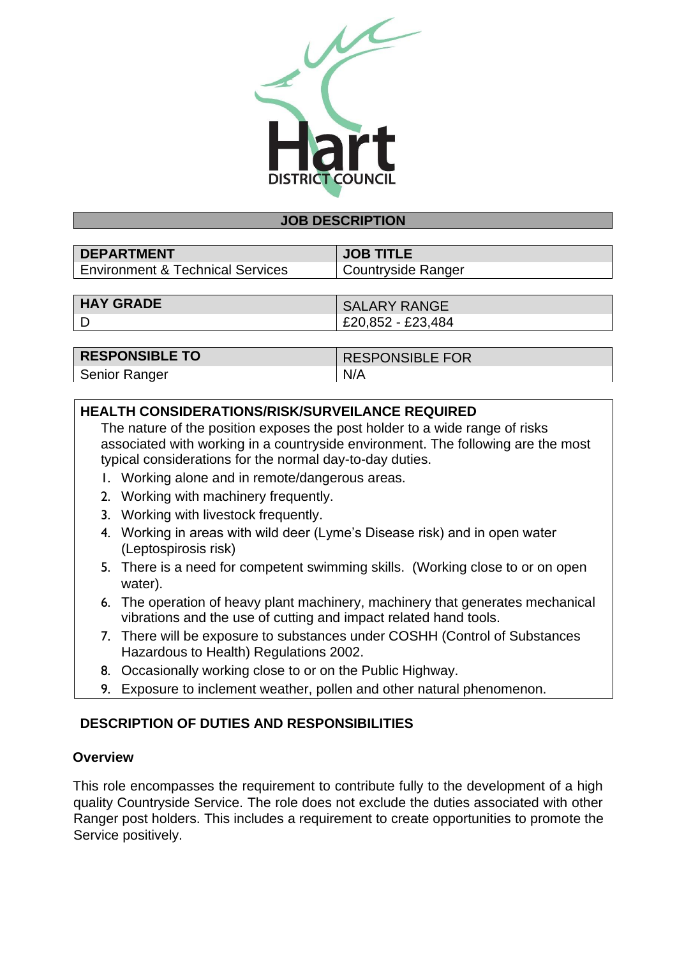

#### **JOB DESCRIPTION**

| <b>DEPARTMENT</b>                | <b>JOB TITLE</b>   |
|----------------------------------|--------------------|
| Environment & Technical Services | Countryside Ranger |

| <b>HAY GRADE</b>  | <b>SALARY RANGE</b> |
|-------------------|---------------------|
| £20,852 - £23,484 |                     |

| <b>RESPONSIBLE TO</b> | <b>RESPONSIBLE FOR</b> |
|-----------------------|------------------------|
| <b>Senior Ranger</b>  | N/A                    |

## **HEALTH CONSIDERATIONS/RISK/SURVEILANCE REQUIRED**

The nature of the position exposes the post holder to a wide range of risks associated with working in a countryside environment. The following are the most typical considerations for the normal day-to-day duties.

- 1. Working alone and in remote/dangerous areas.
- 2. Working with machinery frequently.
- 3. Working with livestock frequently.
- 4. Working in areas with wild deer (Lyme's Disease risk) and in open water (Leptospirosis risk)
- 5. There is a need for competent swimming skills. (Working close to or on open water).
- 6. The operation of heavy plant machinery, machinery that generates mechanical vibrations and the use of cutting and impact related hand tools.
- 7. There will be exposure to substances under COSHH (Control of Substances Hazardous to Health) Regulations 2002.
- 8. Occasionally working close to or on the Public Highway.
- 9. Exposure to inclement weather, pollen and other natural phenomenon.

## **DESCRIPTION OF DUTIES AND RESPONSIBILITIES**

#### **Overview**

This role encompasses the requirement to contribute fully to the development of a high quality Countryside Service. The role does not exclude the duties associated with other Ranger post holders. This includes a requirement to create opportunities to promote the Service positively.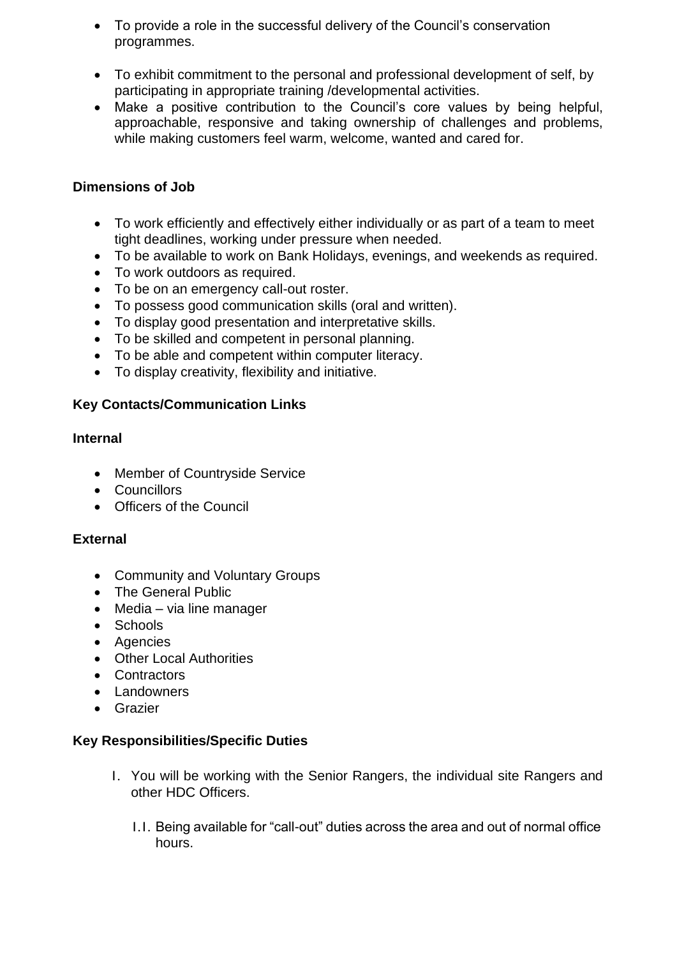- To provide a role in the successful delivery of the Council's conservation programmes.
- To exhibit commitment to the personal and professional development of self, by participating in appropriate training /developmental activities.
- Make a positive contribution to the Council's core values by being helpful, approachable, responsive and taking ownership of challenges and problems, while making customers feel warm, welcome, wanted and cared for.

## **Dimensions of Job**

- To work efficiently and effectively either individually or as part of a team to meet tight deadlines, working under pressure when needed.
- To be available to work on Bank Holidays, evenings, and weekends as required.
- To work outdoors as required.
- To be on an emergency call-out roster.
- To possess good communication skills (oral and written).
- To display good presentation and interpretative skills.
- To be skilled and competent in personal planning.
- To be able and competent within computer literacy.
- To display creativity, flexibility and initiative.

# **Key Contacts/Communication Links**

## **Internal**

- Member of Countryside Service
- Councillors
- Officers of the Council

## **External**

- Community and Voluntary Groups
- The General Public
- Media via line manager
- Schools
- Agencies
- Other Local Authorities
- Contractors
- Landowners
- Grazier

## **Key Responsibilities/Specific Duties**

- 1. You will be working with the Senior Rangers, the individual site Rangers and other HDC Officers.
	- 1.1. Being available for "call-out" duties across the area and out of normal office hours.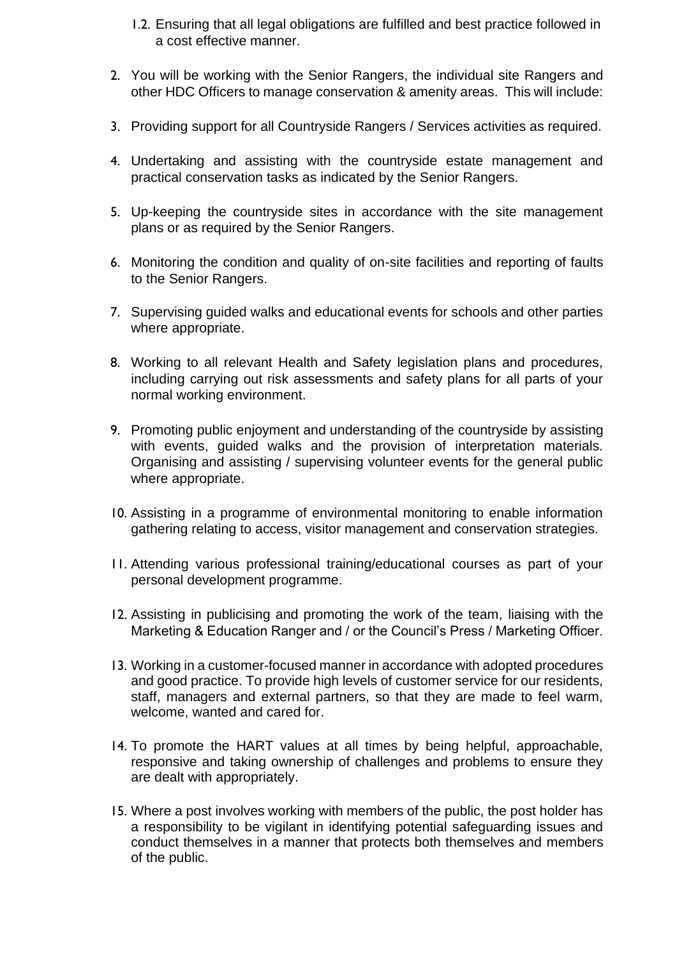- 1.2. Ensuring that all legal obligations are fulfilled and best practice followed in a cost effective manner.
- 2. You will be working with the Senior Rangers, the individual site Rangers and other HDC Officers to manage conservation & amenity areas. This will include:
- 3. Providing support for all Countryside Rangers / Services activities as required.
- 4. Undertaking and assisting with the countryside estate management and practical conservation tasks as indicated by the Senior Rangers.
- 5. Up-keeping the countryside sites in accordance with the site management plans or as required by the Senior Rangers.
- 6. Monitoring the condition and quality of on-site facilities and reporting of faults to the Senior Rangers.
- 7. Supervising guided walks and educational events for schools and other parties where appropriate.
- 8. Working to all relevant Health and Safety legislation plans and procedures, including carrying out risk assessments and safety plans for all parts of your normal working environment.
- 9. Promoting public enjoyment and understanding of the countryside by assisting with events, guided walks and the provision of interpretation materials. Organising and assisting / supervising volunteer events for the general public where appropriate.
- 10. Assisting in a programme of environmental monitoring to enable information gathering relating to access, visitor management and conservation strategies.
- 11. Attending various professional training/educational courses as part of your personal development programme.
- 12. Assisting in publicising and promoting the work of the team, liaising with the Marketing & Education Ranger and / or the Council's Press / Marketing Officer.
- 13. Working in a customer-focused manner in accordance with adopted procedures and good practice. To provide high levels of customer service for our residents, staff, managers and external partners, so that they are made to feel warm, welcome, wanted and cared for.
- 14. To promote the HART values at all times by being helpful, approachable, responsive and taking ownership of challenges and problems to ensure they are dealt with appropriately.
- 15. Where a post involves working with members of the public, the post holder has a responsibility to be vigilant in identifying potential safeguarding issues and conduct themselves in a manner that protects both themselves and members of the public.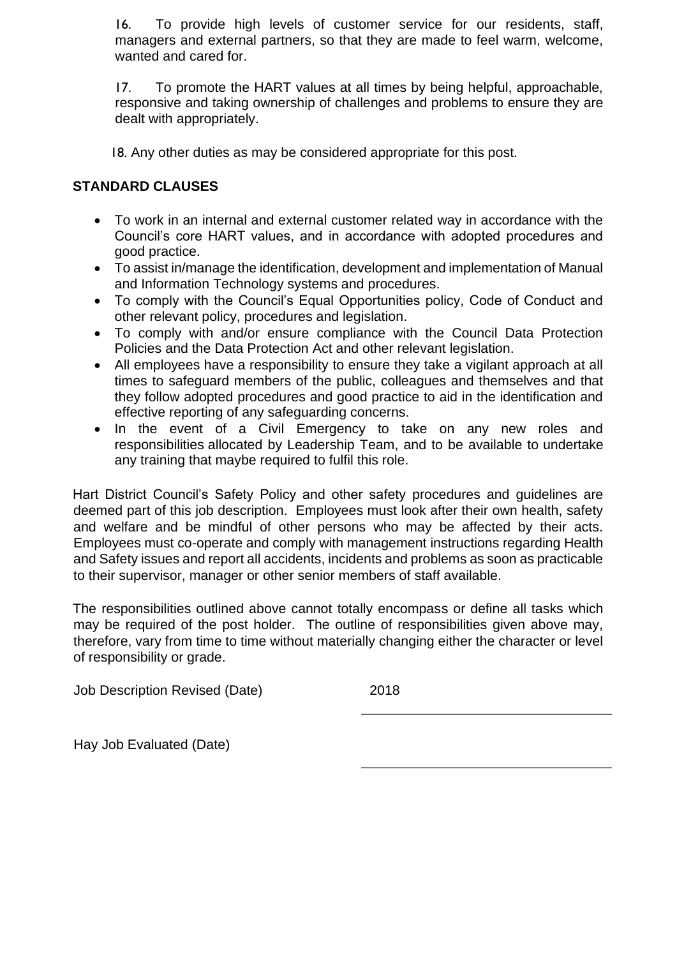16. To provide high levels of customer service for our residents, staff, managers and external partners, so that they are made to feel warm, welcome, wanted and cared for.

17. To promote the HART values at all times by being helpful, approachable, responsive and taking ownership of challenges and problems to ensure they are dealt with appropriately.

18. Any other duties as may be considered appropriate for this post.

## **STANDARD CLAUSES**

- To work in an internal and external customer related way in accordance with the Council's core HART values, and in accordance with adopted procedures and good practice.
- To assist in/manage the identification, development and implementation of Manual and Information Technology systems and procedures.
- To comply with the Council's Equal Opportunities policy, Code of Conduct and other relevant policy, procedures and legislation.
- To comply with and/or ensure compliance with the Council Data Protection Policies and the Data Protection Act and other relevant legislation.
- All employees have a responsibility to ensure they take a vigilant approach at all times to safeguard members of the public, colleagues and themselves and that they follow adopted procedures and good practice to aid in the identification and effective reporting of any safeguarding concerns.
- In the event of a Civil Emergency to take on any new roles and responsibilities allocated by Leadership Team, and to be available to undertake any training that maybe required to fulfil this role.

Hart District Council's Safety Policy and other safety procedures and guidelines are deemed part of this job description. Employees must look after their own health, safety and welfare and be mindful of other persons who may be affected by their acts. Employees must co-operate and comply with management instructions regarding Health and Safety issues and report all accidents, incidents and problems as soon as practicable to their supervisor, manager or other senior members of staff available.

The responsibilities outlined above cannot totally encompass or define all tasks which may be required of the post holder. The outline of responsibilities given above may, therefore, vary from time to time without materially changing either the character or level of responsibility or grade.

Job Description Revised (Date) 2018

Hay Job Evaluated (Date)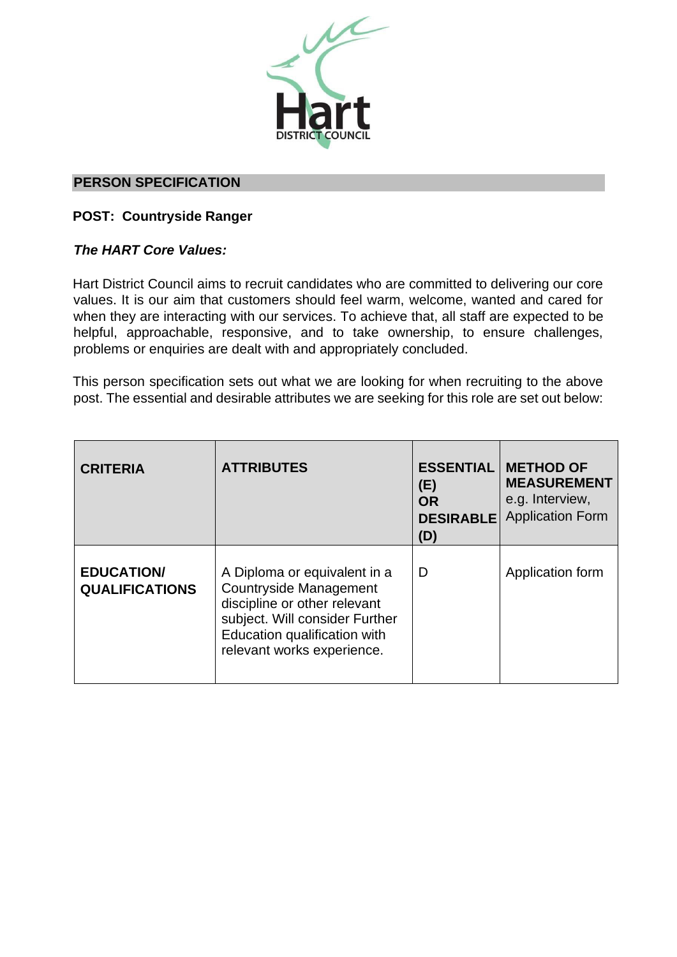

#### **PERSON SPECIFICATION**

#### **POST: Countryside Ranger**

#### *The HART Core Values:*

Hart District Council aims to recruit candidates who are committed to delivering our core values. It is our aim that customers should feel warm, welcome, wanted and cared for when they are interacting with our services. To achieve that, all staff are expected to be helpful, approachable, responsive, and to take ownership, to ensure challenges, problems or enquiries are dealt with and appropriately concluded.

This person specification sets out what we are looking for when recruiting to the above post. The essential and desirable attributes we are seeking for this role are set out below:

| <b>CRITERIA</b>                            | <b>ATTRIBUTES</b>                                                                                                                                                                             | <b>ESSENTIAL</b><br>(E)<br><b>OR</b><br><b>DESIRABLE</b><br>(D) | <b>METHOD OF</b><br><b>MEASUREMENT</b><br>e.g. Interview,<br><b>Application Form</b> |
|--------------------------------------------|-----------------------------------------------------------------------------------------------------------------------------------------------------------------------------------------------|-----------------------------------------------------------------|--------------------------------------------------------------------------------------|
| <b>EDUCATION/</b><br><b>QUALIFICATIONS</b> | A Diploma or equivalent in a<br><b>Countryside Management</b><br>discipline or other relevant<br>subject. Will consider Further<br>Education qualification with<br>relevant works experience. | D                                                               | Application form                                                                     |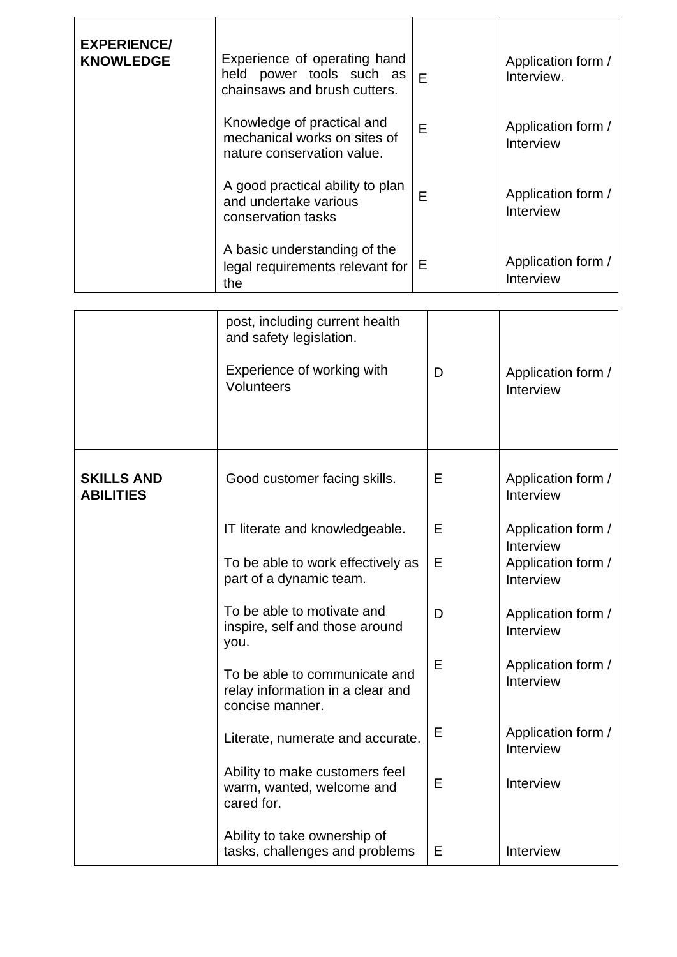| <b>EXPERIENCE/</b><br><b>KNOWLEDGE</b> | Experience of operating hand<br>held power tools such as<br>chainsaws and brush cutters.<br>Knowledge of practical and<br>mechanical works on sites of<br>nature conservation value. | E<br>E | Application form /<br>Interview.<br>Application form /<br>Interview |
|----------------------------------------|--------------------------------------------------------------------------------------------------------------------------------------------------------------------------------------|--------|---------------------------------------------------------------------|
|                                        | A good practical ability to plan<br>and undertake various<br>conservation tasks                                                                                                      | E      | Application form /<br>Interview                                     |
|                                        | A basic understanding of the<br>legal requirements relevant for<br>the                                                                                                               | Е      | Application form /<br>Interview                                     |
|                                        | post, including current health<br>and safety legislation.                                                                                                                            |        |                                                                     |
|                                        | Experience of working with<br>Volunteers                                                                                                                                             | D      | Application form /<br>Interview                                     |
| <b>SKILLS AND</b><br><b>ABILITIES</b>  | Good customer facing skills.                                                                                                                                                         | Е      | Application form /<br>Interview                                     |
|                                        | IT literate and knowledgeable.                                                                                                                                                       | Ε      | Application form /                                                  |
|                                        | To be able to work effectively as<br>part of a dynamic team.                                                                                                                         | Е      | Interview<br>Application form /<br>Interview                        |
|                                        | To be able to motivate and<br>inspire, self and those around<br>you.                                                                                                                 | D      | Application form /<br>Interview                                     |
|                                        | To be able to communicate and<br>relay information in a clear and<br>concise manner.                                                                                                 | Ε      | Application form /<br>Interview                                     |
|                                        | Literate, numerate and accurate.                                                                                                                                                     | Ε      | Application form /<br>Interview                                     |
|                                        | Ability to make customers feel<br>warm, wanted, welcome and<br>cared for.                                                                                                            | Е      | Interview                                                           |
|                                        | Ability to take ownership of<br>tasks, challenges and problems                                                                                                                       | Е      | Interview                                                           |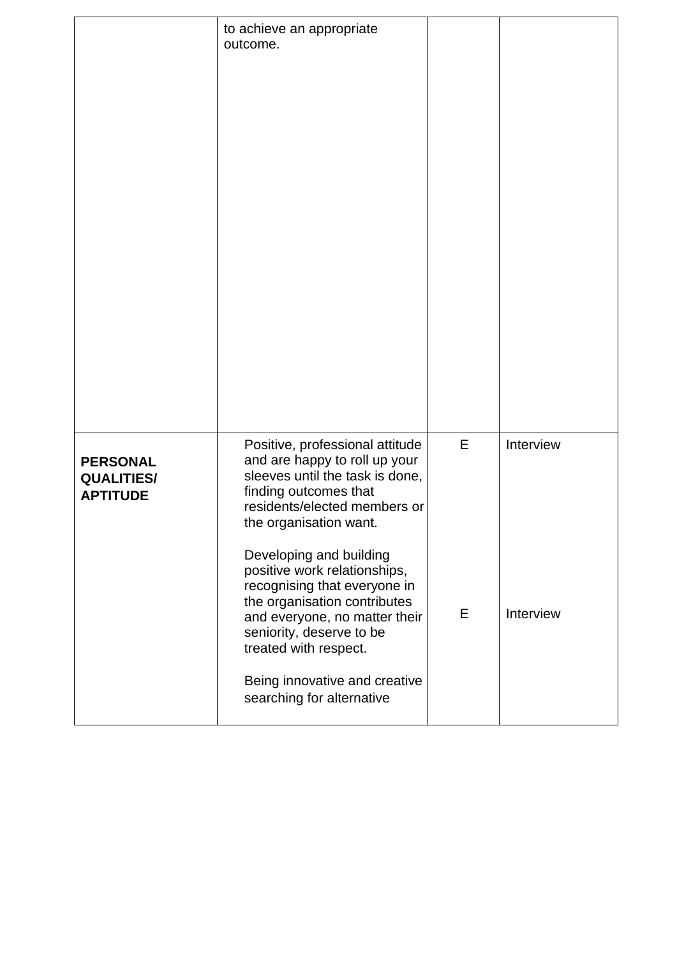|                                                         | to achieve an appropriate<br>outcome.                                                                                                                                                                                                                                                                                                                                                                                                                                 |        |                        |
|---------------------------------------------------------|-----------------------------------------------------------------------------------------------------------------------------------------------------------------------------------------------------------------------------------------------------------------------------------------------------------------------------------------------------------------------------------------------------------------------------------------------------------------------|--------|------------------------|
| <b>PERSONAL</b><br><b>QUALITIES/</b><br><b>APTITUDE</b> | Positive, professional attitude<br>and are happy to roll up your<br>sleeves until the task is done,<br>finding outcomes that<br>residents/elected members or<br>the organisation want.<br>Developing and building<br>positive work relationships,<br>recognising that everyone in<br>the organisation contributes<br>and everyone, no matter their<br>seniority, deserve to be<br>treated with respect.<br>Being innovative and creative<br>searching for alternative | E<br>E | Interview<br>Interview |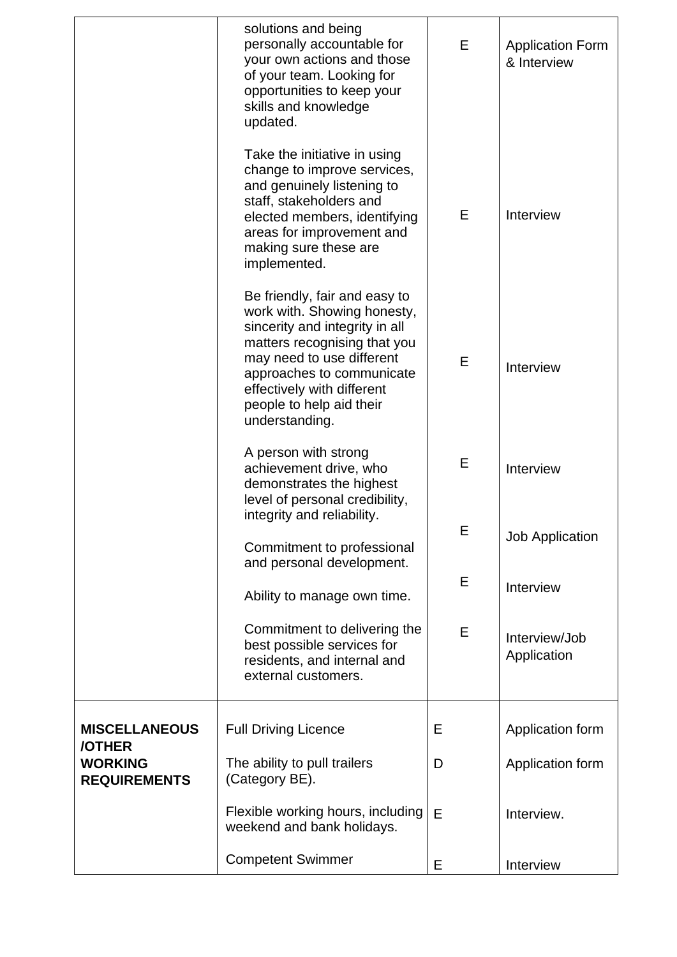|                                       | solutions and being<br>personally accountable for<br>your own actions and those<br>of your team. Looking for<br>opportunities to keep your<br>skills and knowledge<br>updated.                                                                                       | E | <b>Application Form</b><br>& Interview |
|---------------------------------------|----------------------------------------------------------------------------------------------------------------------------------------------------------------------------------------------------------------------------------------------------------------------|---|----------------------------------------|
|                                       | Take the initiative in using<br>change to improve services,<br>and genuinely listening to<br>staff, stakeholders and<br>elected members, identifying<br>areas for improvement and<br>making sure these are<br>implemented.                                           | E | Interview                              |
|                                       | Be friendly, fair and easy to<br>work with. Showing honesty,<br>sincerity and integrity in all<br>matters recognising that you<br>may need to use different<br>approaches to communicate<br>effectively with different<br>people to help aid their<br>understanding. | E | Interview                              |
|                                       | A person with strong<br>achievement drive, who<br>demonstrates the highest<br>level of personal credibility,                                                                                                                                                         | Е | Interview                              |
|                                       | integrity and reliability.<br>Commitment to professional<br>and personal development.                                                                                                                                                                                | Ε | <b>Job Application</b>                 |
|                                       | Ability to manage own time.                                                                                                                                                                                                                                          | E | Interview                              |
|                                       | Commitment to delivering the<br>best possible services for<br>residents, and internal and<br>external customers.                                                                                                                                                     | E | Interview/Job<br>Application           |
| <b>MISCELLANEOUS</b><br>/OTHER        | <b>Full Driving Licence</b>                                                                                                                                                                                                                                          | Ε | Application form                       |
| <b>WORKING</b><br><b>REQUIREMENTS</b> | The ability to pull trailers<br>(Category BE).                                                                                                                                                                                                                       | D | Application form                       |
|                                       | Flexible working hours, including<br>weekend and bank holidays.                                                                                                                                                                                                      | E | Interview.                             |
|                                       | <b>Competent Swimmer</b>                                                                                                                                                                                                                                             | E | Interview                              |